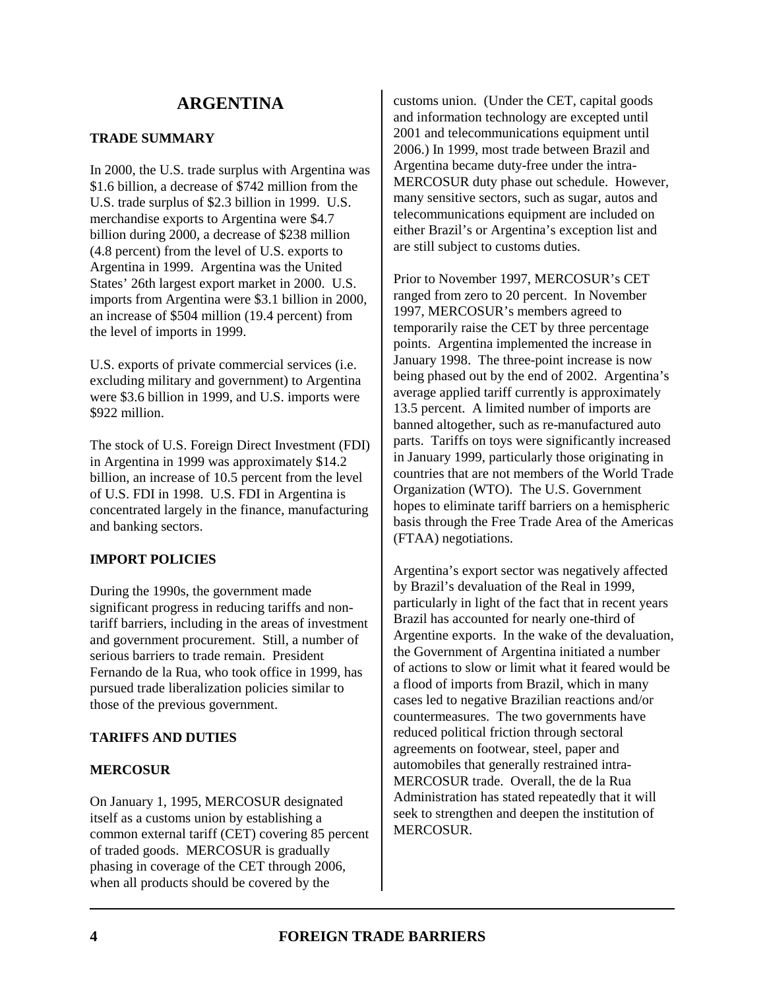# **TRADE SUMMARY**

In 2000, the U.S. trade surplus with Argentina was \$1.6 billion, a decrease of \$742 million from the U.S. trade surplus of \$2.3 billion in 1999. U.S. merchandise exports to Argentina were \$4.7 billion during 2000, a decrease of \$238 million (4.8 percent) from the level of U.S. exports to Argentina in 1999. Argentina was the United States' 26th largest export market in 2000. U.S. imports from Argentina were \$3.1 billion in 2000, an increase of \$504 million (19.4 percent) from the level of imports in 1999.

U.S. exports of private commercial services (i.e. excluding military and government) to Argentina were \$3.6 billion in 1999, and U.S. imports were \$922 million.

The stock of U.S. Foreign Direct Investment (FDI) in Argentina in 1999 was approximately \$14.2 billion, an increase of 10.5 percent from the level of U.S. FDI in 1998. U.S. FDI in Argentina is concentrated largely in the finance, manufacturing and banking sectors.

# **IMPORT POLICIES**

During the 1990s, the government made significant progress in reducing tariffs and nontariff barriers, including in the areas of investment and government procurement. Still, a number of serious barriers to trade remain. President Fernando de la Rua, who took office in 1999, has pursued trade liberalization policies similar to those of the previous government.

# **TARIFFS AND DUTIES**

# **MERCOSUR**

On January 1, 1995, MERCOSUR designated itself as a customs union by establishing a common external tariff (CET) covering 85 percent of traded goods. MERCOSUR is gradually phasing in coverage of the CET through 2006, when all products should be covered by the

customs union. (Under the CET, capital goods and information technology are excepted until 2001 and telecommunications equipment until 2006.) In 1999, most trade between Brazil and Argentina became duty-free under the intra-MERCOSUR duty phase out schedule. However, many sensitive sectors, such as sugar, autos and telecommunications equipment are included on either Brazil's or Argentina's exception list and are still subject to customs duties.

Prior to November 1997, MERCOSUR's CET ranged from zero to 20 percent. In November 1997, MERCOSUR's members agreed to temporarily raise the CET by three percentage points. Argentina implemented the increase in January 1998. The three-point increase is now being phased out by the end of 2002. Argentina's average applied tariff currently is approximately 13.5 percent. A limited number of imports are banned altogether, such as re-manufactured auto parts. Tariffs on toys were significantly increased in January 1999, particularly those originating in countries that are not members of the World Trade Organization (WTO). The U.S. Government hopes to eliminate tariff barriers on a hemispheric basis through the Free Trade Area of the Americas (FTAA) negotiations.

Argentina's export sector was negatively affected by Brazil's devaluation of the Real in 1999, particularly in light of the fact that in recent years Brazil has accounted for nearly one-third of Argentine exports. In the wake of the devaluation, the Government of Argentina initiated a number of actions to slow or limit what it feared would be a flood of imports from Brazil, which in many cases led to negative Brazilian reactions and/or countermeasures. The two governments have reduced political friction through sectoral agreements on footwear, steel, paper and automobiles that generally restrained intra-MERCOSUR trade. Overall, the de la Rua Administration has stated repeatedly that it will seek to strengthen and deepen the institution of MERCOSUR.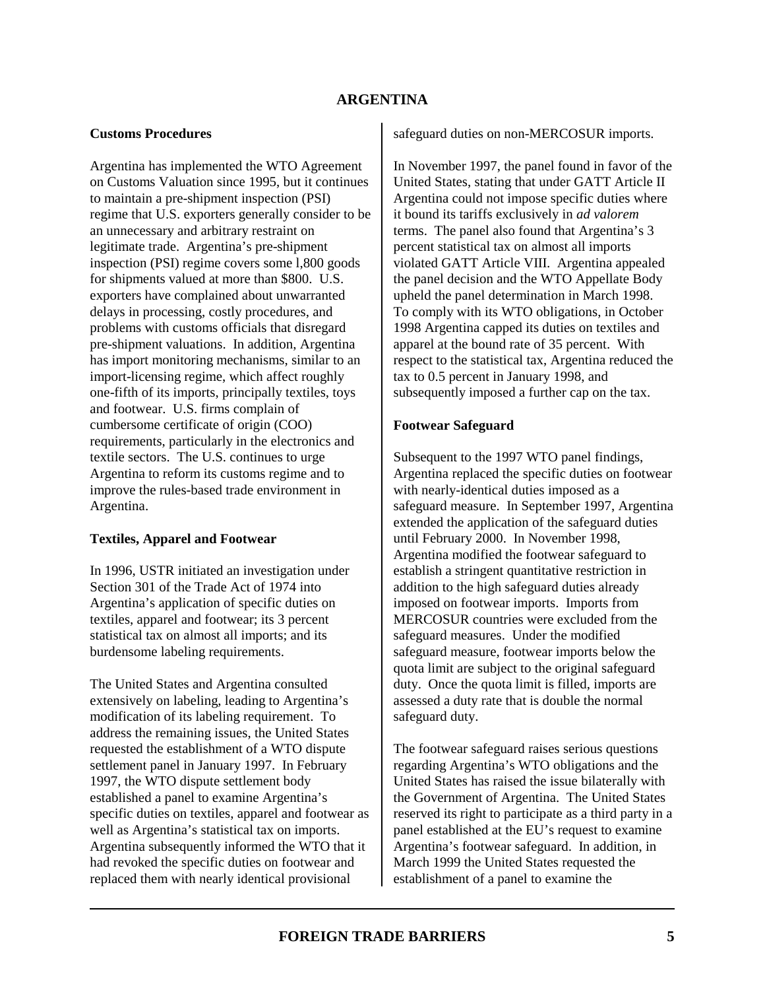# **Customs Procedures**

Argentina has implemented the WTO Agreement on Customs Valuation since 1995, but it continues to maintain a pre-shipment inspection (PSI) regime that U.S. exporters generally consider to be an unnecessary and arbitrary restraint on legitimate trade. Argentina's pre-shipment inspection (PSI) regime covers some l,800 goods for shipments valued at more than \$800. U.S. exporters have complained about unwarranted delays in processing, costly procedures, and problems with customs officials that disregard pre-shipment valuations. In addition, Argentina has import monitoring mechanisms, similar to an import-licensing regime, which affect roughly one-fifth of its imports, principally textiles, toys and footwear. U.S. firms complain of cumbersome certificate of origin (COO) requirements, particularly in the electronics and textile sectors. The U.S. continues to urge Argentina to reform its customs regime and to improve the rules-based trade environment in Argentina.

# **Textiles, Apparel and Footwear**

In 1996, USTR initiated an investigation under Section 301 of the Trade Act of 1974 into Argentina's application of specific duties on textiles, apparel and footwear; its 3 percent statistical tax on almost all imports; and its burdensome labeling requirements.

The United States and Argentina consulted extensively on labeling, leading to Argentina's modification of its labeling requirement. To address the remaining issues, the United States requested the establishment of a WTO dispute settlement panel in January 1997. In February 1997, the WTO dispute settlement body established a panel to examine Argentina's specific duties on textiles, apparel and footwear as well as Argentina's statistical tax on imports. Argentina subsequently informed the WTO that it had revoked the specific duties on footwear and replaced them with nearly identical provisional

safeguard duties on non-MERCOSUR imports.

In November 1997, the panel found in favor of the United States, stating that under GATT Article II Argentina could not impose specific duties where it bound its tariffs exclusively in *ad valorem* terms. The panel also found that Argentina's 3 percent statistical tax on almost all imports violated GATT Article VIII. Argentina appealed the panel decision and the WTO Appellate Body upheld the panel determination in March 1998. To comply with its WTO obligations, in October 1998 Argentina capped its duties on textiles and apparel at the bound rate of 35 percent. With respect to the statistical tax, Argentina reduced the tax to 0.5 percent in January 1998, and subsequently imposed a further cap on the tax.

# **Footwear Safeguard**

Subsequent to the 1997 WTO panel findings, Argentina replaced the specific duties on footwear with nearly-identical duties imposed as a safeguard measure. In September 1997, Argentina extended the application of the safeguard duties until February 2000. In November 1998, Argentina modified the footwear safeguard to establish a stringent quantitative restriction in addition to the high safeguard duties already imposed on footwear imports. Imports from MERCOSUR countries were excluded from the safeguard measures. Under the modified safeguard measure, footwear imports below the quota limit are subject to the original safeguard duty. Once the quota limit is filled, imports are assessed a duty rate that is double the normal safeguard duty.

The footwear safeguard raises serious questions regarding Argentina's WTO obligations and the United States has raised the issue bilaterally with the Government of Argentina. The United States reserved its right to participate as a third party in a panel established at the EU's request to examine Argentina's footwear safeguard. In addition, in March 1999 the United States requested the establishment of a panel to examine the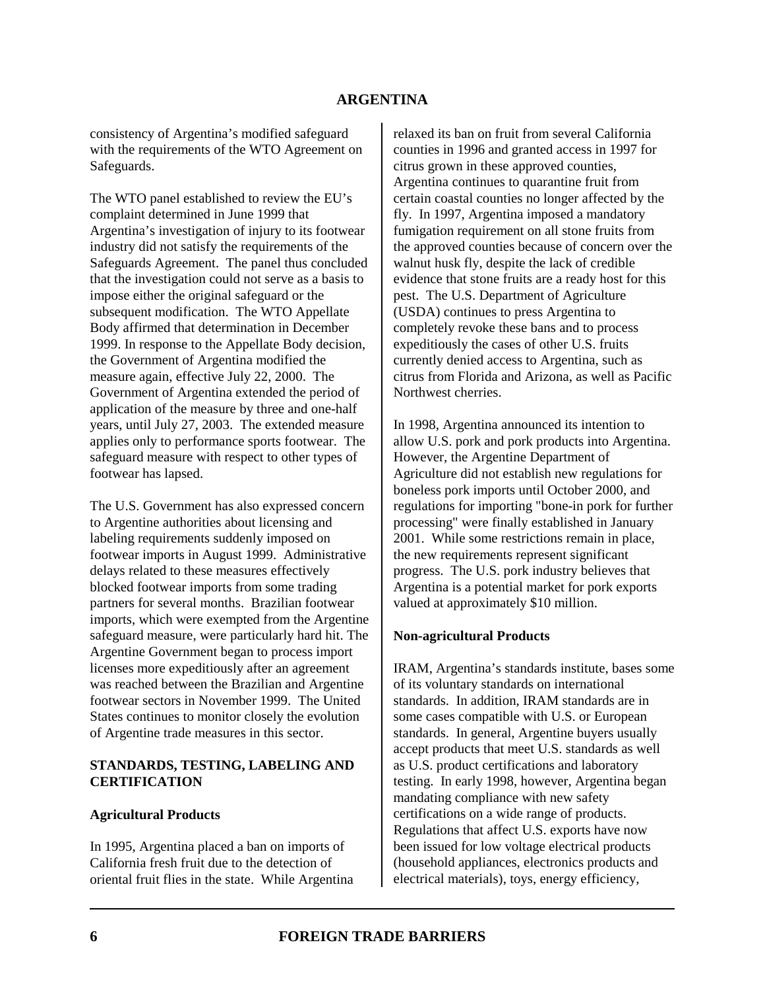consistency of Argentina's modified safeguard with the requirements of the WTO Agreement on Safeguards.

The WTO panel established to review the EU's complaint determined in June 1999 that Argentina's investigation of injury to its footwear industry did not satisfy the requirements of the Safeguards Agreement. The panel thus concluded that the investigation could not serve as a basis to impose either the original safeguard or the subsequent modification. The WTO Appellate Body affirmed that determination in December 1999. In response to the Appellate Body decision, the Government of Argentina modified the measure again, effective July 22, 2000. The Government of Argentina extended the period of application of the measure by three and one-half years, until July 27, 2003. The extended measure applies only to performance sports footwear. The safeguard measure with respect to other types of footwear has lapsed.

The U.S. Government has also expressed concern to Argentine authorities about licensing and labeling requirements suddenly imposed on footwear imports in August 1999. Administrative delays related to these measures effectively blocked footwear imports from some trading partners for several months. Brazilian footwear imports, which were exempted from the Argentine safeguard measure, were particularly hard hit. The Argentine Government began to process import licenses more expeditiously after an agreement was reached between the Brazilian and Argentine footwear sectors in November 1999. The United States continues to monitor closely the evolution of Argentine trade measures in this sector.

#### **STANDARDS, TESTING, LABELING AND CERTIFICATION**

# **Agricultural Products**

In 1995, Argentina placed a ban on imports of California fresh fruit due to the detection of oriental fruit flies in the state. While Argentina relaxed its ban on fruit from several California counties in 1996 and granted access in 1997 for citrus grown in these approved counties, Argentina continues to quarantine fruit from certain coastal counties no longer affected by the fly. In 1997, Argentina imposed a mandatory fumigation requirement on all stone fruits from the approved counties because of concern over the walnut husk fly, despite the lack of credible evidence that stone fruits are a ready host for this pest. The U.S. Department of Agriculture (USDA) continues to press Argentina to completely revoke these bans and to process expeditiously the cases of other U.S. fruits currently denied access to Argentina, such as citrus from Florida and Arizona, as well as Pacific Northwest cherries.

In 1998, Argentina announced its intention to allow U.S. pork and pork products into Argentina. However, the Argentine Department of Agriculture did not establish new regulations for boneless pork imports until October 2000, and regulations for importing "bone-in pork for further processing" were finally established in January 2001. While some restrictions remain in place, the new requirements represent significant progress. The U.S. pork industry believes that Argentina is a potential market for pork exports valued at approximately \$10 million.

# **Non-agricultural Products**

IRAM, Argentina's standards institute, bases some of its voluntary standards on international standards. In addition, IRAM standards are in some cases compatible with U.S. or European standards. In general, Argentine buyers usually accept products that meet U.S. standards as well as U.S. product certifications and laboratory testing. In early 1998, however, Argentina began mandating compliance with new safety certifications on a wide range of products. Regulations that affect U.S. exports have now been issued for low voltage electrical products (household appliances, electronics products and electrical materials), toys, energy efficiency,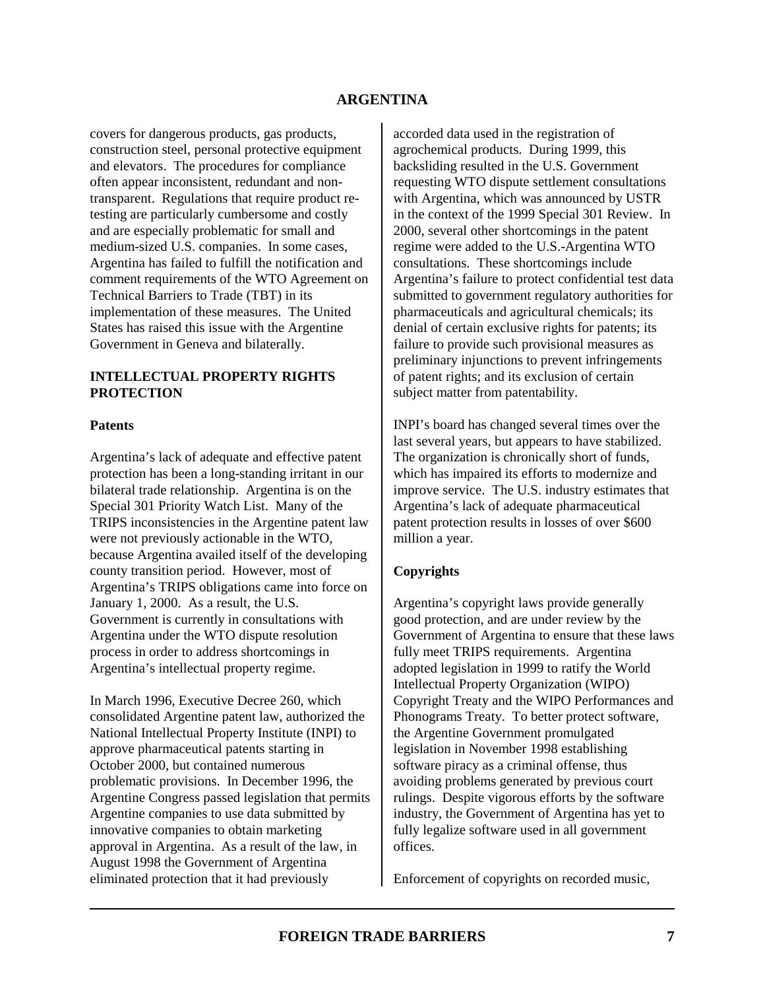covers for dangerous products, gas products, construction steel, personal protective equipment and elevators. The procedures for compliance often appear inconsistent, redundant and nontransparent. Regulations that require product retesting are particularly cumbersome and costly and are especially problematic for small and medium-sized U.S. companies. In some cases, Argentina has failed to fulfill the notification and comment requirements of the WTO Agreement on Technical Barriers to Trade (TBT) in its implementation of these measures. The United States has raised this issue with the Argentine Government in Geneva and bilaterally.

#### **INTELLECTUAL PROPERTY RIGHTS PROTECTION**

#### **Patents**

Argentina's lack of adequate and effective patent protection has been a long-standing irritant in our bilateral trade relationship. Argentina is on the Special 301 Priority Watch List. Many of the TRIPS inconsistencies in the Argentine patent law were not previously actionable in the WTO, because Argentina availed itself of the developing county transition period. However, most of Argentina's TRIPS obligations came into force on January 1, 2000. As a result, the U.S. Government is currently in consultations with Argentina under the WTO dispute resolution process in order to address shortcomings in Argentina's intellectual property regime.

In March 1996, Executive Decree 260, which consolidated Argentine patent law, authorized the National Intellectual Property Institute (INPI) to approve pharmaceutical patents starting in October 2000, but contained numerous problematic provisions. In December 1996, the Argentine Congress passed legislation that permits Argentine companies to use data submitted by innovative companies to obtain marketing approval in Argentina. As a result of the law, in August 1998 the Government of Argentina eliminated protection that it had previously

accorded data used in the registration of agrochemical products. During 1999, this backsliding resulted in the U.S. Government requesting WTO dispute settlement consultations with Argentina, which was announced by USTR in the context of the 1999 Special 301 Review. In 2000, several other shortcomings in the patent regime were added to the U.S.-Argentina WTO consultations. These shortcomings include Argentina's failure to protect confidential test data submitted to government regulatory authorities for pharmaceuticals and agricultural chemicals; its denial of certain exclusive rights for patents; its failure to provide such provisional measures as preliminary injunctions to prevent infringements of patent rights; and its exclusion of certain subject matter from patentability.

INPI's board has changed several times over the last several years, but appears to have stabilized. The organization is chronically short of funds, which has impaired its efforts to modernize and improve service. The U.S. industry estimates that Argentina's lack of adequate pharmaceutical patent protection results in losses of over \$600 million a year.

# **Copyrights**

Argentina's copyright laws provide generally good protection, and are under review by the Government of Argentina to ensure that these laws fully meet TRIPS requirements. Argentina adopted legislation in 1999 to ratify the World Intellectual Property Organization (WIPO) Copyright Treaty and the WIPO Performances and Phonograms Treaty. To better protect software, the Argentine Government promulgated legislation in November 1998 establishing software piracy as a criminal offense, thus avoiding problems generated by previous court rulings. Despite vigorous efforts by the software industry, the Government of Argentina has yet to fully legalize software used in all government offices.

Enforcement of copyrights on recorded music,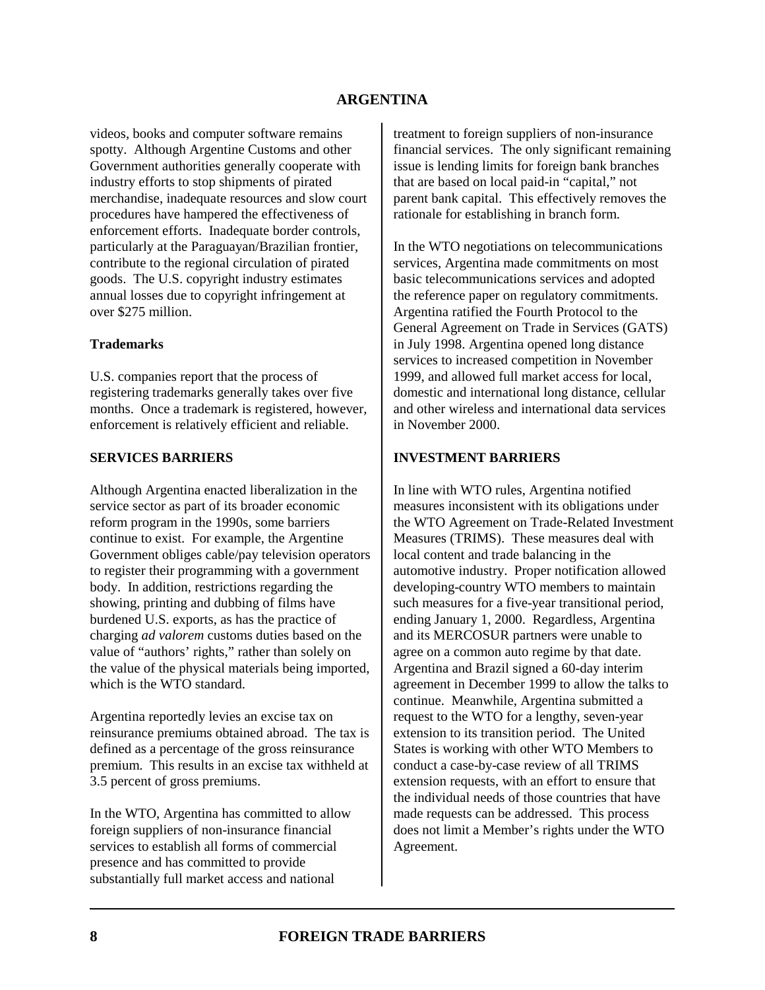videos, books and computer software remains spotty. Although Argentine Customs and other Government authorities generally cooperate with industry efforts to stop shipments of pirated merchandise, inadequate resources and slow court procedures have hampered the effectiveness of enforcement efforts. Inadequate border controls, particularly at the Paraguayan/Brazilian frontier, contribute to the regional circulation of pirated goods. The U.S. copyright industry estimates annual losses due to copyright infringement at over \$275 million.

#### **Trademarks**

U.S. companies report that the process of registering trademarks generally takes over five months. Once a trademark is registered, however, enforcement is relatively efficient and reliable.

#### **SERVICES BARRIERS**

Although Argentina enacted liberalization in the service sector as part of its broader economic reform program in the 1990s, some barriers continue to exist. For example, the Argentine Government obliges cable/pay television operators to register their programming with a government body. In addition, restrictions regarding the showing, printing and dubbing of films have burdened U.S. exports, as has the practice of charging *ad valorem* customs duties based on the value of "authors' rights," rather than solely on the value of the physical materials being imported, which is the WTO standard.

Argentina reportedly levies an excise tax on reinsurance premiums obtained abroad. The tax is defined as a percentage of the gross reinsurance premium. This results in an excise tax withheld at 3.5 percent of gross premiums.

In the WTO, Argentina has committed to allow foreign suppliers of non-insurance financial services to establish all forms of commercial presence and has committed to provide substantially full market access and national

treatment to foreign suppliers of non-insurance financial services. The only significant remaining issue is lending limits for foreign bank branches that are based on local paid-in "capital," not parent bank capital. This effectively removes the rationale for establishing in branch form.

In the WTO negotiations on telecommunications services, Argentina made commitments on most basic telecommunications services and adopted the reference paper on regulatory commitments. Argentina ratified the Fourth Protocol to the General Agreement on Trade in Services (GATS) in July 1998. Argentina opened long distance services to increased competition in November 1999, and allowed full market access for local, domestic and international long distance, cellular and other wireless and international data services in November 2000.

#### **INVESTMENT BARRIERS**

In line with WTO rules, Argentina notified measures inconsistent with its obligations under the WTO Agreement on Trade-Related Investment Measures (TRIMS). These measures deal with local content and trade balancing in the automotive industry. Proper notification allowed developing-country WTO members to maintain such measures for a five-year transitional period, ending January 1, 2000. Regardless, Argentina and its MERCOSUR partners were unable to agree on a common auto regime by that date. Argentina and Brazil signed a 60-day interim agreement in December 1999 to allow the talks to continue. Meanwhile, Argentina submitted a request to the WTO for a lengthy, seven-year extension to its transition period. The United States is working with other WTO Members to conduct a case-by-case review of all TRIMS extension requests, with an effort to ensure that the individual needs of those countries that have made requests can be addressed. This process does not limit a Member's rights under the WTO Agreement.